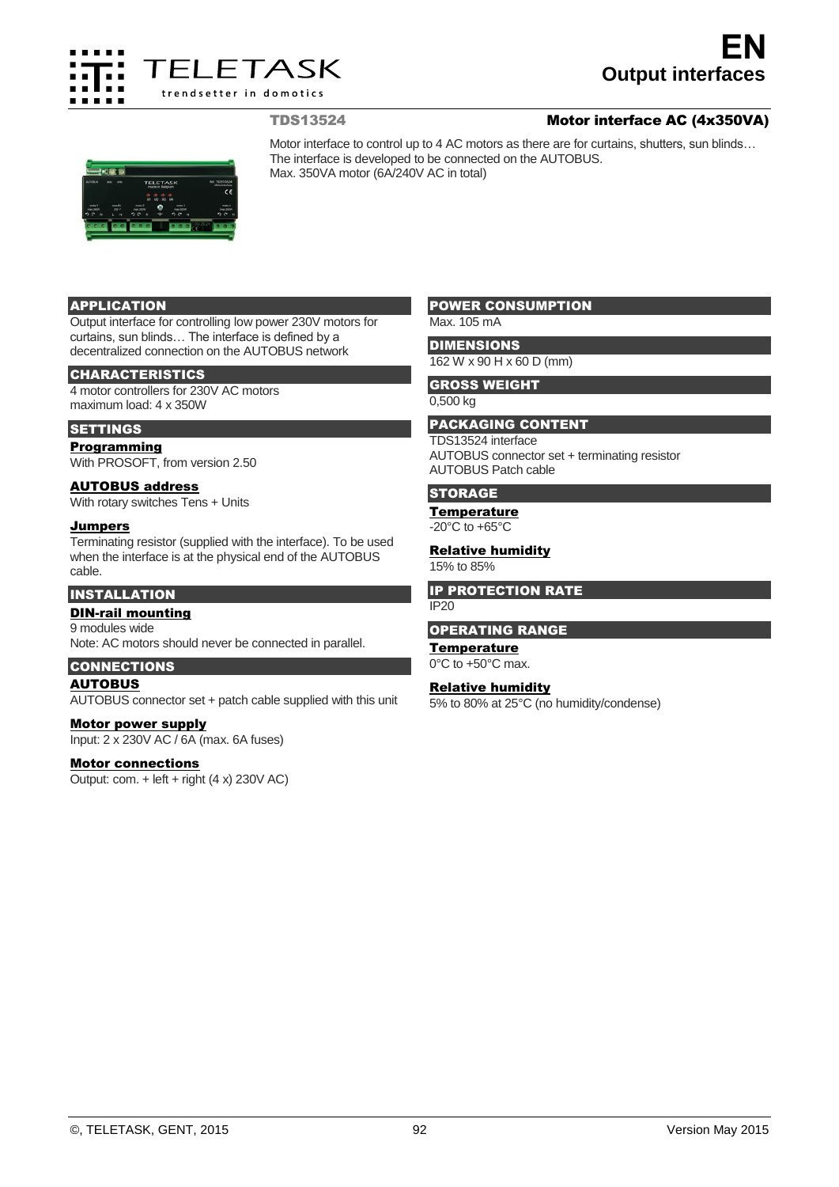

# **Output interfaces EN**

## TDS13524 Motor interface AC (4x350VA)



Motor interface to control up to 4 AC motors as there are for curtains, shutters, sun blinds… The interface is developed to be connected on the AUTOBUS. Max. 350VA motor (6A/240V AC in total)

## APPLICATION

Output interface for controlling low power 230V motors for curtains, sun blinds… The interface is defined by a decentralized connection on the AUTOBUS network

#### CHARACTERISTICS

4 motor controllers for 230V AC motors maximum load: 4 x 350W

## **SETTINGS**

Programming

With PROSOFT, from version 2.50

## AUTOBUS address

With rotary switches Tens + Units

#### Jumpers

Terminating resistor (supplied with the interface). To be used when the interface is at the physical end of the AUTOBUS cable.

# INSTALLATION

DIN-rail mounting 9 modules wide Note: AC motors should never be connected in parallel.

## CONNECTIONS

AUTOBUS

AUTOBUS connector set + patch cable supplied with this unit

Motor power supply Input: 2 x 230V AC / 6A (max. 6A fuses)

## Motor connections

Output: com.  $+$  left  $+$  right (4 x) 230V AC)

## POWER CONSUMPTION

Max. 105 mA

## **DIMENSIONS**

162 W x 90 H x 60 D (mm)

## GROSS WEIGHT

0,500 kg

## PACKAGING CONTENT

TDS13524 interface

AUTOBUS connector set + terminating resistor AUTOBUS Patch cable

## **STORAGE**

## **Temperature**

 $-20^{\circ}$ C to  $+65^{\circ}$ C

## **Relative humidity**

15% to 85%

#### IP PROTECTION RATE

IP20

#### OPERATING RANGE

#### **Temperature**

0°C to +50°C max.

## Relative humidity

5% to 80% at 25°C (no humidity/condense)